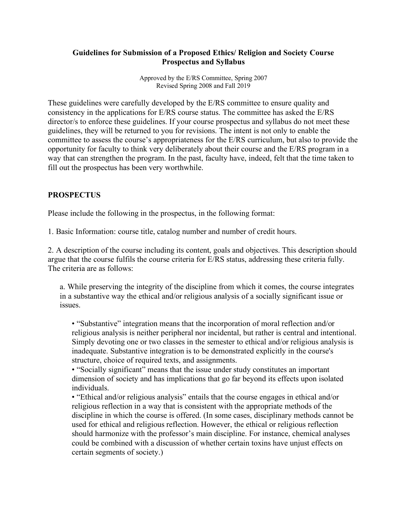### **Guidelines for Submission of a Proposed Ethics/ Religion and Society Course Prospectus and Syllabus**

Approved by the E/RS Committee, Spring 2007 Revised Spring 2008 and Fall 2019

These guidelines were carefully developed by the E/RS committee to ensure quality and consistency in the applications for E/RS course status. The committee has asked the E/RS director/s to enforce these guidelines. If your course prospectus and syllabus do not meet these guidelines, they will be returned to you for revisions. The intent is not only to enable the committee to assess the course's appropriateness for the E/RS curriculum, but also to provide the opportunity for faculty to think very deliberately about their course and the E/RS program in a way that can strengthen the program. In the past, faculty have, indeed, felt that the time taken to fill out the prospectus has been very worthwhile.

# **PROSPECTUS**

Please include the following in the prospectus, in the following format:

1. Basic Information: course title, catalog number and number of credit hours.

2. A description of the course including its content, goals and objectives. This description should argue that the course fulfils the course criteria for E/RS status, addressing these criteria fully. The criteria are as follows:

a. While preserving the integrity of the discipline from which it comes, the course integrates in a substantive way the ethical and/or religious analysis of a socially significant issue or issues.

• "Substantive" integration means that the incorporation of moral reflection and/or religious analysis is neither peripheral nor incidental, but rather is central and intentional. Simply devoting one or two classes in the semester to ethical and/or religious analysis is inadequate. Substantive integration is to be demonstrated explicitly in the course's structure, choice of required texts, and assignments.

• "Socially significant" means that the issue under study constitutes an important dimension of society and has implications that go far beyond its effects upon isolated individuals.

• "Ethical and/or religious analysis" entails that the course engages in ethical and/or religious reflection in a way that is consistent with the appropriate methods of the discipline in which the course is offered. (In some cases, disciplinary methods cannot be used for ethical and religious reflection. However, the ethical or religious reflection should harmonize with the professor's main discipline. For instance, chemical analyses could be combined with a discussion of whether certain toxins have unjust effects on certain segments of society.)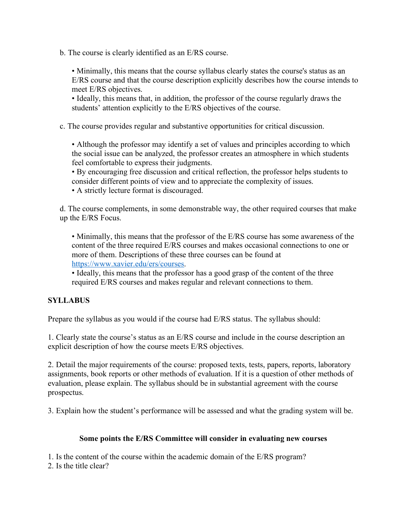b. The course is clearly identified as an E/RS course.

• Minimally, this means that the course syllabus clearly states the course's status as an E/RS course and that the course description explicitly describes how the course intends to meet E/RS objectives.

• Ideally, this means that, in addition, the professor of the course regularly draws the students' attention explicitly to the E/RS objectives of the course.

c. The course provides regular and substantive opportunities for critical discussion.

• Although the professor may identify a set of values and principles according to which the social issue can be analyzed, the professor creates an atmosphere in which students feel comfortable to express their judgments.

• By encouraging free discussion and critical reflection, the professor helps students to consider different points of view and to appreciate the complexity of issues.

• A strictly lecture format is discouraged.

d. The course complements, in some demonstrable way, the other required courses that make up the E/RS Focus.

• Minimally, this means that the professor of the E/RS course has some awareness of the content of the three required E/RS courses and makes occasional connections to one or more of them. Descriptions of these three courses can be found at https://www.xavier.edu/ers/courses.

• Ideally, this means that the professor has a good grasp of the content of the three required E/RS courses and makes regular and relevant connections to them.

# **SYLLABUS**

Prepare the syllabus as you would if the course had E/RS status. The syllabus should:

1. Clearly state the course's status as an E/RS course and include in the course description an explicit description of how the course meets E/RS objectives.

2. Detail the major requirements of the course: proposed texts, tests, papers, reports, laboratory assignments, book reports or other methods of evaluation. If it is a question of other methods of evaluation, please explain. The syllabus should be in substantial agreement with the course prospectus.

3. Explain how the student's performance will be assessed and what the grading system will be.

# **Some points the E/RS Committee will consider in evaluating new courses**

1. Is the content of the course within the academic domain of the E/RS program?

2. Is the title clear?